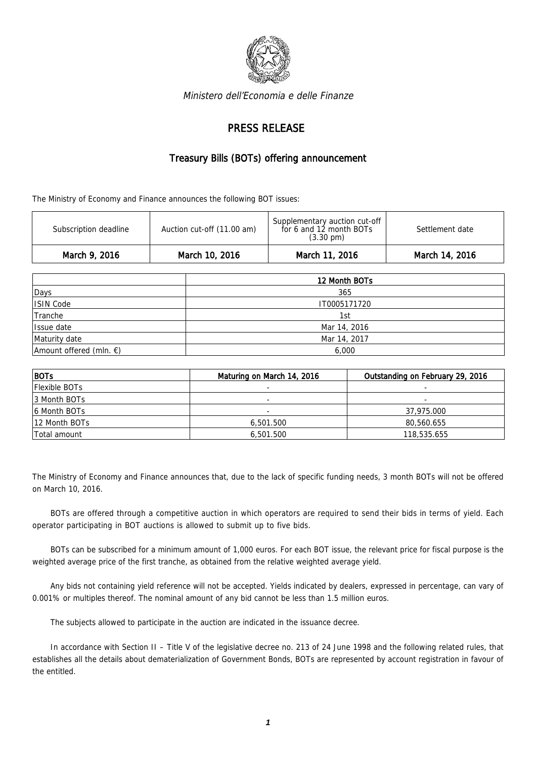

Ministero dell'Economia e delle Finanze

## PRESS RELEASE

## Treasury Bills (BOTs) offering announcement

The Ministry of Economy and Finance announces the following BOT issues:

| March 9, 2016         | March 10, 2016             | March 11, 2016                                                                  | March 14, 2016  |
|-----------------------|----------------------------|---------------------------------------------------------------------------------|-----------------|
| Subscription deadline | Auction cut-off (11.00 am) | Supplementary auction cut-off<br>for 6 and 12 month BOTs<br>$(3.30 \text{ pm})$ | Settlement date |

|                                   | 12 Month BOTs |  |
|-----------------------------------|---------------|--|
| Days                              | 365           |  |
| ISIN Code                         | IT0005171720  |  |
| Tranche                           | 1st           |  |
| Issue date                        | Mar 14, 2016  |  |
| Maturity date                     | Mar 14, 2017  |  |
| Amount offered (mln. $\epsilon$ ) | 6,000         |  |

| $ $ BOTs             | Maturing on March 14, 2016 | Outstanding on February 29, 2016 |
|----------------------|----------------------------|----------------------------------|
| <b>Flexible BOTs</b> |                            |                                  |
| 13 Month BOTs        |                            | -                                |
| 16 Month BOTs        | $\overline{\phantom{a}}$   | 37,975.000                       |
| 12 Month BOTs        | 6,501.500                  | 80,560.655                       |
| Total amount         | 6,501.500                  | 118,535.655                      |

The Ministry of Economy and Finance announces that, due to the lack of specific funding needs, 3 month BOTs will not be offered on March 10, 2016.

BOTs are offered through a competitive auction in which operators are required to send their bids in terms of yield. Each operator participating in BOT auctions is allowed to submit up to five bids.

BOTs can be subscribed for a minimum amount of 1,000 euros. For each BOT issue, the relevant price for fiscal purpose is the weighted average price of the first tranche, as obtained from the relative weighted average yield.

Any bids not containing yield reference will not be accepted. Yields indicated by dealers, expressed in percentage, can vary of 0.001% or multiples thereof. The nominal amount of any bid cannot be less than 1.5 million euros.

The subjects allowed to participate in the auction are indicated in the issuance decree.

In accordance with Section II – Title V of the legislative decree no. 213 of 24 June 1998 and the following related rules, that establishes all the details about dematerialization of Government Bonds, BOTs are represented by account registration in favour of the entitled.